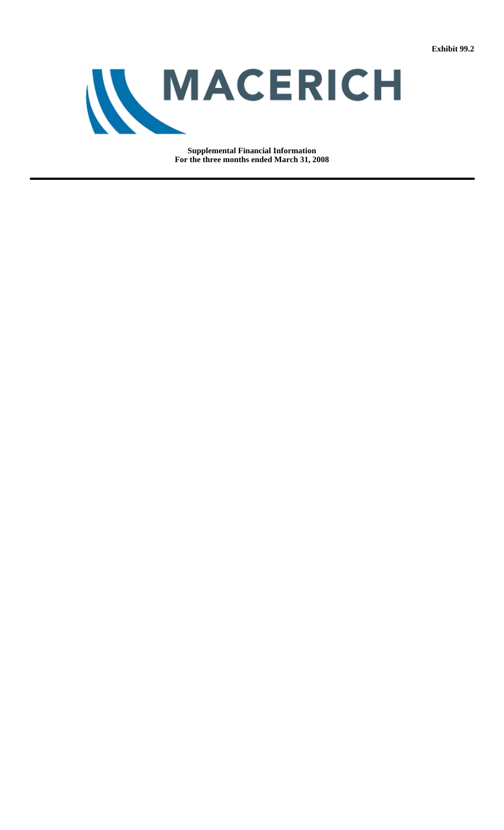

**Supplemental Financial Information For the three months ended March 31, 2008**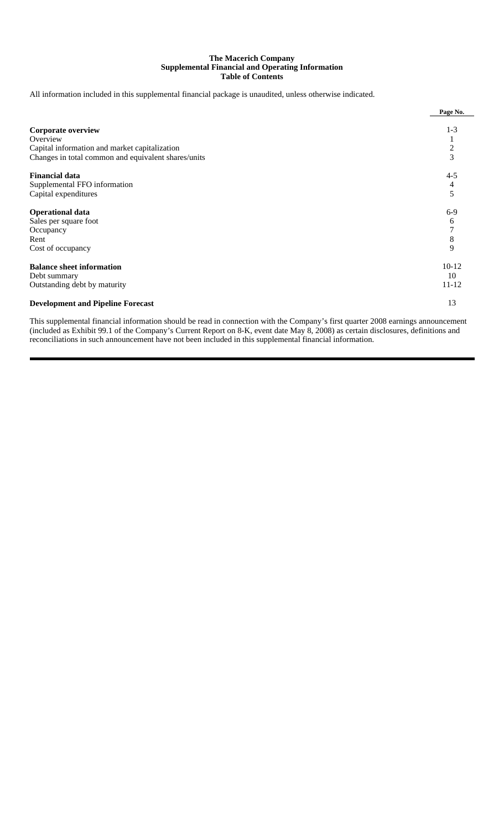# **The Macerich Company Supplemental Financial and Operating Information Table of Contents**

All information included in this supplemental financial package is unaudited, unless otherwise indicated.

|                                                     | Page No.       |
|-----------------------------------------------------|----------------|
|                                                     |                |
| <b>Corporate overview</b>                           | $1 - 3$        |
| Overview                                            |                |
| Capital information and market capitalization       | $\overline{c}$ |
| Changes in total common and equivalent shares/units | 3              |
| <b>Financial data</b>                               | $4 - 5$        |
| Supplemental FFO information                        | 4              |
| Capital expenditures                                | 5              |
| <b>Operational data</b>                             | $6-9$          |
| Sales per square foot                               | 6              |
| Occupancy                                           | 7              |
| Rent                                                | 8              |
| Cost of occupancy                                   | 9              |
| <b>Balance sheet information</b>                    | $10-12$        |
| Debt summary                                        | 10             |
| Outstanding debt by maturity                        | $11 - 12$      |
| <b>Development and Pipeline Forecast</b>            | 13             |

This supplemental financial information should be read in connection with the Company's first quarter 2008 earnings announcement (included as Exhibit 99.1 of the Company's Current Report on 8-K, event date May 8, 2008) as certain disclosures, definitions and reconciliations in such announcement have not been included in this supplemental financial information.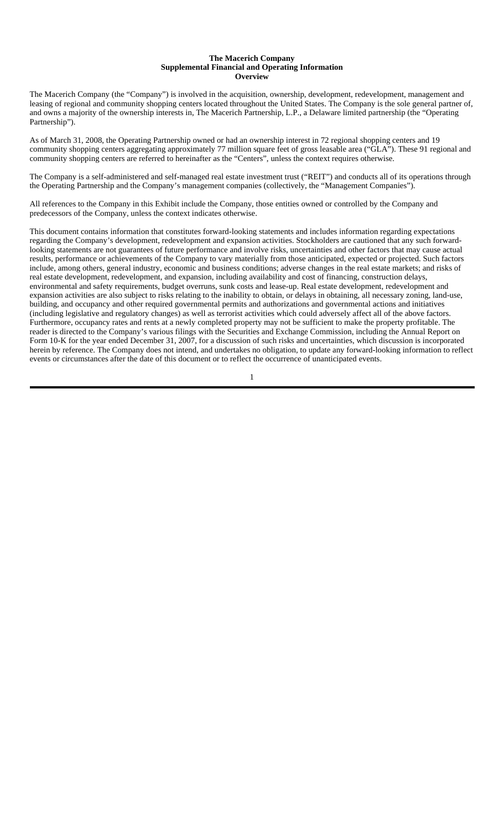#### **The Macerich Company Supplemental Financial and Operating Information Overview**

The Macerich Company (the "Company") is involved in the acquisition, ownership, development, redevelopment, management and leasing of regional and community shopping centers located throughout the United States. The Company is the sole general partner of, and owns a majority of the ownership interests in, The Macerich Partnership, L.P., a Delaware limited partnership (the "Operating Partnership").

As of March 31, 2008, the Operating Partnership owned or had an ownership interest in 72 regional shopping centers and 19 community shopping centers aggregating approximately 77 million square feet of gross leasable area ("GLA"). These 91 regional and community shopping centers are referred to hereinafter as the "Centers", unless the context requires otherwise.

The Company is a self-administered and self-managed real estate investment trust ("REIT") and conducts all of its operations through the Operating Partnership and the Company's management companies (collectively, the "Management Companies").

All references to the Company in this Exhibit include the Company, those entities owned or controlled by the Company and predecessors of the Company, unless the context indicates otherwise.

This document contains information that constitutes forward-looking statements and includes information regarding expectations regarding the Company's development, redevelopment and expansion activities. Stockholders are cautioned that any such forwardlooking statements are not guarantees of future performance and involve risks, uncertainties and other factors that may cause actual results, performance or achievements of the Company to vary materially from those anticipated, expected or projected. Such factors include, among others, general industry, economic and business conditions; adverse changes in the real estate markets; and risks of real estate development, redevelopment, and expansion, including availability and cost of financing, construction delays, environmental and safety requirements, budget overruns, sunk costs and lease-up. Real estate development, redevelopment and expansion activities are also subject to risks relating to the inability to obtain, or delays in obtaining, all necessary zoning, land-use, building, and occupancy and other required governmental permits and authorizations and governmental actions and initiatives (including legislative and regulatory changes) as well as terrorist activities which could adversely affect all of the above factors. Furthermore, occupancy rates and rents at a newly completed property may not be sufficient to make the property profitable. The reader is directed to the Company's various filings with the Securities and Exchange Commission, including the Annual Report on Form 10-K for the year ended December 31, 2007, for a discussion of such risks and uncertainties, which discussion is incorporated herein by reference. The Company does not intend, and undertakes no obligation, to update any forward-looking information to reflect events or circumstances after the date of this document or to reflect the occurrence of unanticipated events.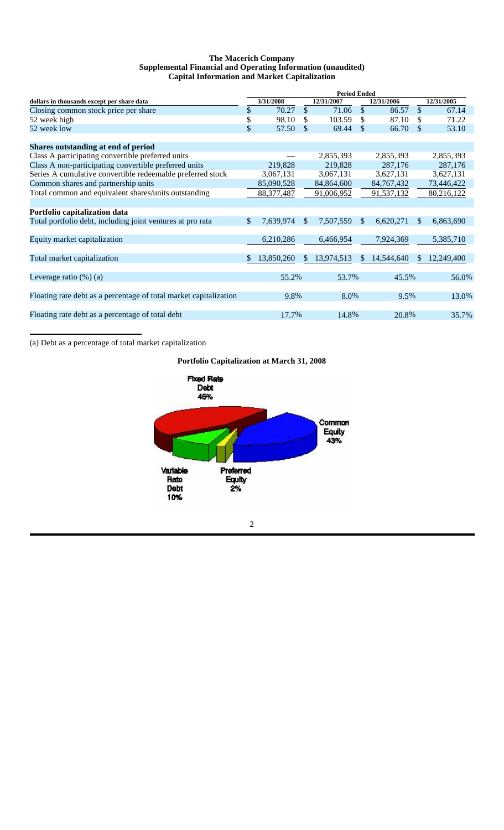# **The Macerich Company Supplemental Financial and Operating Information (unaudited) Capital Information and Market Capitalization**

|                                                                   | <b>Period Ended</b> |            |               |            |               |              |               |            |
|-------------------------------------------------------------------|---------------------|------------|---------------|------------|---------------|--------------|---------------|------------|
| dollars in thousands except per share data                        |                     | 3/31/2008  |               | 12/31/2007 |               | 12/31/2006   |               | 12/31/2005 |
| Closing common stock price per share                              | \$                  | 70.27      | \$            | 71.06      | $\mathcal{S}$ | 86.57        | $\mathbb{S}$  | 67.14      |
| 52 week high                                                      | \$                  | 98.10      | S.            | 103.59     | \$            | 87.10        | £.            | 71.22      |
| 52 week low                                                       | \$                  | 57.50      | \$            | 69.44      | \$            | 66.70        | \$.           | 53.10      |
| Shares outstanding at end of period                               |                     |            |               |            |               |              |               |            |
| Class A participating convertible preferred units                 |                     |            |               | 2,855,393  |               | 2,855,393    |               | 2,855,393  |
| Class A non-participating convertible preferred units             |                     | 219,828    |               | 219,828    |               | 287,176      |               | 287,176    |
| Series A cumulative convertible redeemable preferred stock        |                     | 3,067,131  |               | 3,067,131  |               | 3,627,131    |               | 3,627,131  |
| Common shares and partnership units                               |                     | 85,090,528 |               | 84,864,600 |               | 84, 767, 432 |               | 73,446,422 |
| Total common and equivalent shares/units outstanding              |                     | 88,377,487 |               | 91,006,952 |               | 91,537,132   |               | 80,216,122 |
| Portfolio capitalization data                                     |                     |            |               |            |               |              |               |            |
| Total portfolio debt, including joint ventures at pro rata        | \$                  | 7,639,974  | <sup>\$</sup> | 7,507,559  | $\mathbb{S}$  | 6,620,271    | <sup>\$</sup> | 6,863,690  |
| Equity market capitalization                                      |                     | 6,210,286  |               | 6,466,954  |               | 7,924,369    |               | 5,385,710  |
| Total market capitalization                                       | \$.                 | 13,850,260 | \$.           | 13,974,513 | S.            | 14,544,640   | <b>S</b>      | 12,249,400 |
| Leverage ratio $(\%)$ (a)                                         |                     | 55.2%      |               | 53.7%      |               | 45.5%        |               | 56.0%      |
| Floating rate debt as a percentage of total market capitalization |                     | 9.8%       |               | 8.0%       |               | 9.5%         |               | 13.0%      |
|                                                                   |                     |            |               |            |               |              |               |            |
| Floating rate debt as a percentage of total debt                  |                     | 17.7%      |               | 14.8%      |               | 20.8%        |               | 35.7%      |

(a) Debt as a percentage of total market capitalization

# **Portfolio Capitalization at March 31, 2008**

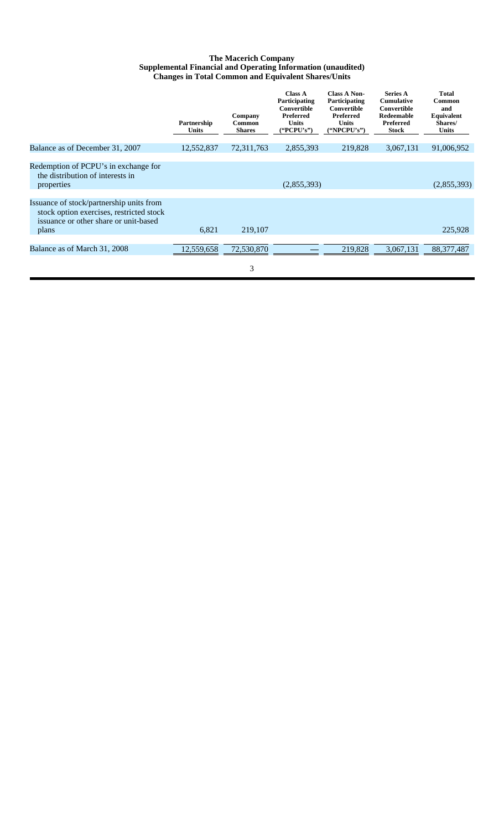#### **The Macerich Company Supplemental Financial and Operating Information (unaudited) Changes in Total Common and Equivalent Shares/Units**

|                                                                                                                                        | Partnership<br><b>Units</b> | Company<br>Common<br><b>Shares</b> | <b>Class A</b><br>Participating<br>Convertible<br>Preferred<br><b>Units</b><br>("PCPU's") | <b>Class A Non-</b><br>Participating<br>Convertible<br>Preferred<br><b>Units</b><br>("NPCPU's") | <b>Series A</b><br><b>Cumulative</b><br>Convertible<br>Redeemable<br>Preferred<br><b>Stock</b> | <b>Total</b><br>Common<br>and<br>Equivalent<br>Shares/<br><b>Units</b> |
|----------------------------------------------------------------------------------------------------------------------------------------|-----------------------------|------------------------------------|-------------------------------------------------------------------------------------------|-------------------------------------------------------------------------------------------------|------------------------------------------------------------------------------------------------|------------------------------------------------------------------------|
| Balance as of December 31, 2007                                                                                                        | 12,552,837                  | 72,311,763                         | 2,855,393                                                                                 | 219,828                                                                                         | 3,067,131                                                                                      | 91,006,952                                                             |
| Redemption of PCPU's in exchange for<br>the distribution of interests in<br>properties                                                 |                             |                                    | (2,855,393)                                                                               |                                                                                                 |                                                                                                | (2,855,393)                                                            |
| Issuance of stock/partnership units from<br>stock option exercises, restricted stock<br>issuance or other share or unit-based<br>plans | 6,821                       | 219,107                            |                                                                                           |                                                                                                 |                                                                                                | 225,928                                                                |
| Balance as of March 31, 2008                                                                                                           | 12,559,658                  | 72,530,870                         |                                                                                           | 219,828                                                                                         | 3,067,131                                                                                      | 88, 377, 487                                                           |
|                                                                                                                                        |                             | 3                                  |                                                                                           |                                                                                                 |                                                                                                |                                                                        |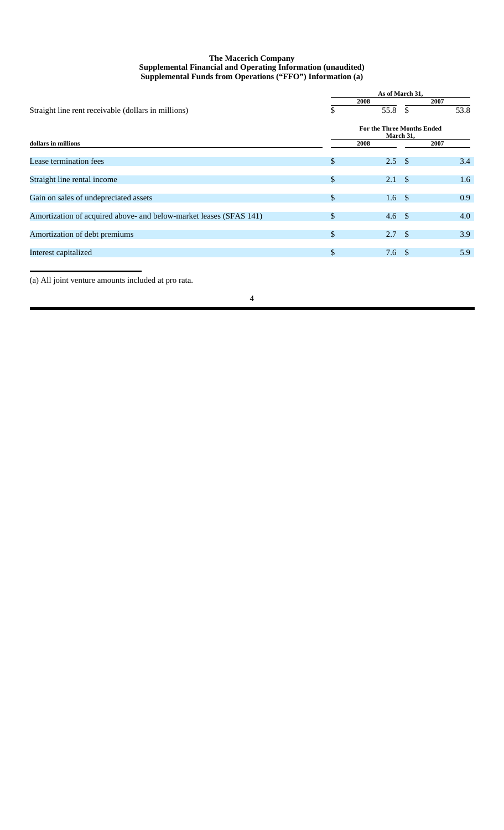# **The Macerich Company Supplemental Financial and Operating Information (unaudited) Supplemental Funds from Operations ("FFO") Information (a)**

|                                                                    | As of March 31,                         |             |      |  |  |  |  |  |
|--------------------------------------------------------------------|-----------------------------------------|-------------|------|--|--|--|--|--|
|                                                                    |                                         | 2008        | 2007 |  |  |  |  |  |
| Straight line rent receivable (dollars in millions)                | S                                       | 55.8<br>\$. | 53.8 |  |  |  |  |  |
|                                                                    | For the Three Months Ended<br>March 31, |             |      |  |  |  |  |  |
| dollars in millions                                                |                                         | 2008        | 2007 |  |  |  |  |  |
| Lease termination fees                                             | $\mathbb{S}$                            | 2.5<br>- \$ | 3.4  |  |  |  |  |  |
| Straight line rental income                                        | $\mathbb{S}$                            | - \$<br>2.1 | 1.6  |  |  |  |  |  |
| Gain on sales of undepreciated assets                              | $\mathbb{S}$                            | 1.6<br>- \$ | 0.9  |  |  |  |  |  |
| Amortization of acquired above- and below-market leases (SFAS 141) | \$                                      | 4.6<br>- \$ | 4.0  |  |  |  |  |  |
| Amortization of debt premiums                                      | $\mathbb{S}$                            | 2.7<br>- \$ | 3.9  |  |  |  |  |  |
| Interest capitalized                                               | \$.                                     | 7.6<br>- \$ | 5.9  |  |  |  |  |  |
|                                                                    |                                         |             |      |  |  |  |  |  |

(a) All joint venture amounts included at pro rata.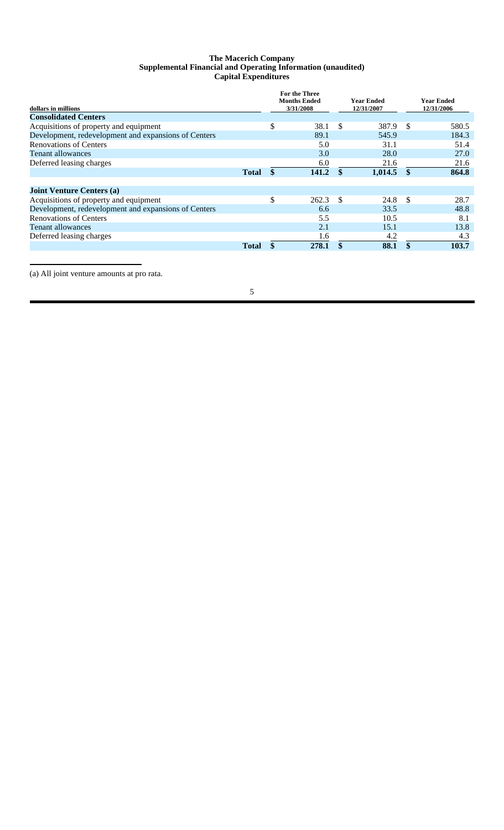# **The Macerich Company Supplemental Financial and Operating Information (unaudited) Capital Expenditures**

|                                                      |              |                     | <b>For the Three</b> |     |            |                   |            |
|------------------------------------------------------|--------------|---------------------|----------------------|-----|------------|-------------------|------------|
|                                                      |              | <b>Months Ended</b> |                      |     | Year Ended | <b>Year Ended</b> |            |
| dollars in millions                                  |              |                     | 3/31/2008            |     | 12/31/2007 |                   | 12/31/2006 |
| <b>Consolidated Centers</b>                          |              |                     |                      |     |            |                   |            |
| Acquisitions of property and equipment               |              | \$                  | 38.1                 | \$. | 387.9      | - \$              | 580.5      |
| Development, redevelopment and expansions of Centers |              |                     | 89.1                 |     | 545.9      |                   | 184.3      |
| <b>Renovations of Centers</b>                        |              |                     | 5.0                  |     | 31.1       |                   | 51.4       |
| Tenant allowances                                    |              |                     | 3.0                  |     | 28.0       |                   | 27.0       |
| Deferred leasing charges                             |              |                     | 6.0                  |     | 21.6       |                   | 21.6       |
|                                                      | <b>Total</b> | \$                  | 141.2                |     | 1,014.5    | $\mathbf{\$}$     | 864.8      |
|                                                      |              |                     |                      |     |            |                   |            |
| <b>Joint Venture Centers (a)</b>                     |              |                     |                      |     |            |                   |            |
| Acquisitions of property and equipment               |              | \$                  | 262.3                | \$. | 24.8       | -\$               | 28.7       |
| Development, redevelopment and expansions of Centers |              |                     | 6.6                  |     | 33.5       |                   | 48.8       |
| <b>Renovations of Centers</b>                        |              |                     | 5.5                  |     | 10.5       |                   | 8.1        |
| <b>Tenant allowances</b>                             |              |                     | 2.1                  |     | 15.1       |                   | 13.8       |
| Deferred leasing charges                             |              |                     | 1.6                  |     | 4.2        |                   | 4.3        |
|                                                      | <b>Total</b> |                     | 278.1                | \$  | 88.1       | \$                | 103.7      |

(a) All joint venture amounts at pro rata.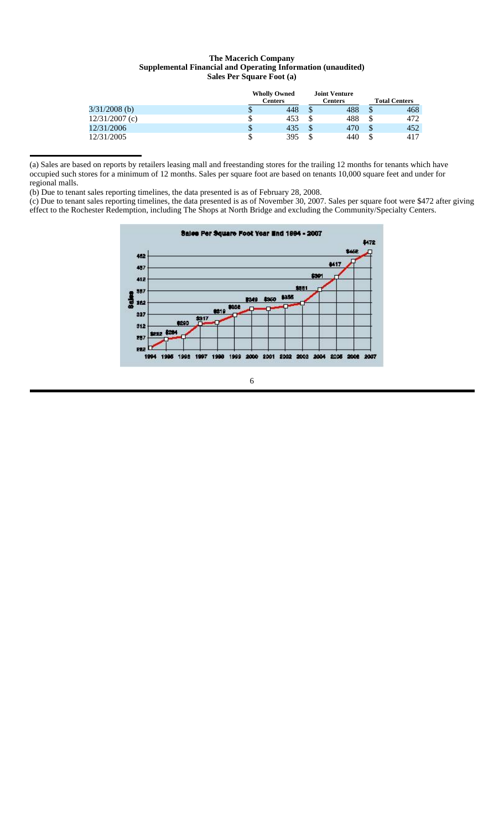# **The Macerich Company Supplemental Financial and Operating Information (unaudited) Sales Per Square Foot (a)**

|                  |    | <b>Wholly Owned</b><br><b>Centers</b> |    | <b>Joint Venture</b><br><b>Centers</b> | <b>Total Centers</b> |      |  |
|------------------|----|---------------------------------------|----|----------------------------------------|----------------------|------|--|
| $3/31/2008$ (b)  | Φ  | 448                                   | Φ  | 488                                    | Φ                    | 468  |  |
| $12/31/2007$ (c) | \$ | 453                                   | J  | 488                                    |                      | 472. |  |
| 12/31/2006       | \$ | 435                                   | \$ | 470                                    | \$                   | 452  |  |
| 12/31/2005       | \$ | 395                                   | \$ | 440                                    | S                    | 417  |  |

(a) Sales are based on reports by retailers leasing mall and freestanding stores for the trailing 12 months for tenants which have occupied such stores for a minimum of 12 months. Sales per square foot are based on tenants 10,000 square feet and under for regional malls.

(b) Due to tenant sales reporting timelines, the data presented is as of February 28, 2008.

(c) Due to tenant sales reporting timelines, the data presented is as of November 30, 2007. Sales per square foot were \$472 after giving effect to the Rochester Redemption, including The Shops at North Bridge and excluding the Community/Specialty Centers.

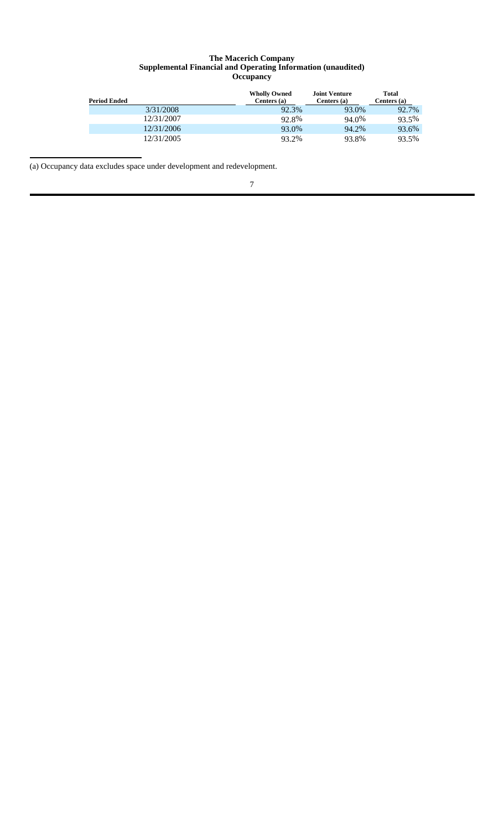### **The Macerich Company Supplemental Financial and Operating Information (unaudited) Occupancy**

| <b>Period Ended</b> | <b>Wholly Owned</b><br>Centers $(a)$ | <b>Joint Venture</b><br>Centers (a) | Total<br>Centers (a) |
|---------------------|--------------------------------------|-------------------------------------|----------------------|
| 3/31/2008           | 92.3%                                | 93.0%                               | 92.7%                |
| 12/31/2007          | 92.8%                                | 94.0%                               | 93.5%                |
| 12/31/2006          | 93.0%                                | 94.2%                               | 93.6%                |
| 12/31/2005          | 93.2%                                | 93.8%                               | 93.5%                |

(a) Occupancy data excludes space under development and redevelopment.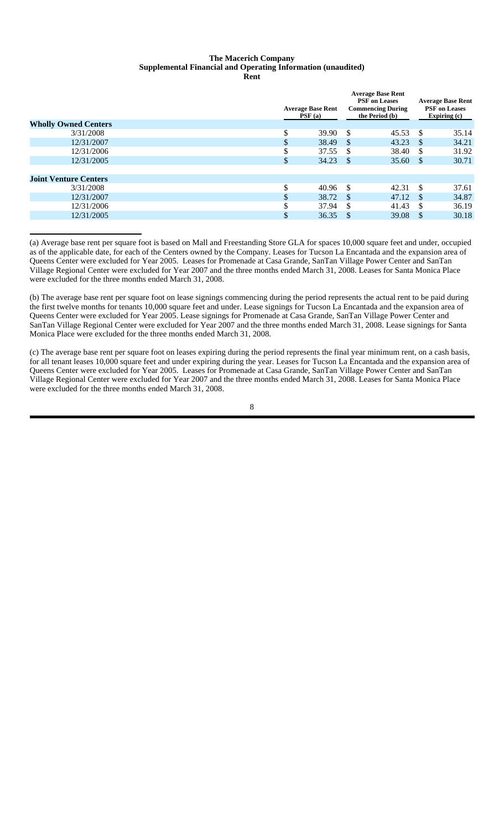# **The Macerich Company Supplemental Financial and Operating Information (unaudited)**

| <b>Wholly Owned Centers</b>  |    | <b>Average Base Rent</b><br>PSF(a) |               | <b>Average Base Rent</b><br><b>PSF</b> on Leases<br><b>Commencing During</b><br>the Period (b) | <b>Average Base Rent</b><br><b>PSF</b> on Leases<br>Expiring (c) |       |
|------------------------------|----|------------------------------------|---------------|------------------------------------------------------------------------------------------------|------------------------------------------------------------------|-------|
| 3/31/2008                    | \$ | 39.90                              | <sup>\$</sup> | 45.53                                                                                          | $\mathbf{s}$                                                     | 35.14 |
| 12/31/2007                   | J  | 38.49                              | <sup>\$</sup> | 43.23                                                                                          | -8                                                               | 34.21 |
| 12/31/2006                   |    | 37.55                              | <b>S</b>      | 38.40                                                                                          | -S                                                               | 31.92 |
| 12/31/2005                   | \$ | 34.23                              | - \$          | 35.60                                                                                          | <b>S</b>                                                         | 30.71 |
|                              |    |                                    |               |                                                                                                |                                                                  |       |
| <b>Joint Venture Centers</b> |    |                                    |               |                                                                                                |                                                                  |       |
| 3/31/2008                    | \$ | 40.96                              | - \$          | 42.31                                                                                          | - \$                                                             | 37.61 |
| 12/31/2007                   |    | 38.72                              | - \$          | 47.12                                                                                          | - \$                                                             | 34.87 |
| 12/31/2006                   |    | 37.94                              | -\$           | 41.43                                                                                          | \$.                                                              | 36.19 |
| 12/31/2005                   | Φ  | 36.35                              | <sup>\$</sup> | 39.08                                                                                          | \$                                                               | 30.18 |
|                              |    |                                    |               |                                                                                                |                                                                  |       |

(a) Average base rent per square foot is based on Mall and Freestanding Store GLA for spaces 10,000 square feet and under, occupied as of the applicable date, for each of the Centers owned by the Company. Leases for Tucson La Encantada and the expansion area of Queens Center were excluded for Year 2005. Leases for Promenade at Casa Grande, SanTan Village Power Center and SanTan Village Regional Center were excluded for Year 2007 and the three months ended March 31, 2008. Leases for Santa Monica Place were excluded for the three months ended March 31, 2008.

(b) The average base rent per square foot on lease signings commencing during the period represents the actual rent to be paid during the first twelve months for tenants 10,000 square feet and under. Lease signings for Tucson La Encantada and the expansion area of Queens Center were excluded for Year 2005. Lease signings for Promenade at Casa Grande, SanTan Village Power Center and SanTan Village Regional Center were excluded for Year 2007 and the three months ended March 31, 2008. Lease signings for Santa Monica Place were excluded for the three months ended March 31, 2008.

(c) The average base rent per square foot on leases expiring during the period represents the final year minimum rent, on a cash basis, for all tenant leases 10,000 square feet and under expiring during the year. Leases for Tucson La Encantada and the expansion area of Queens Center were excluded for Year 2005. Leases for Promenade at Casa Grande, SanTan Village Power Center and SanTan Village Regional Center were excluded for Year 2007 and the three months ended March 31, 2008. Leases for Santa Monica Place were excluded for the three months ended March 31, 2008.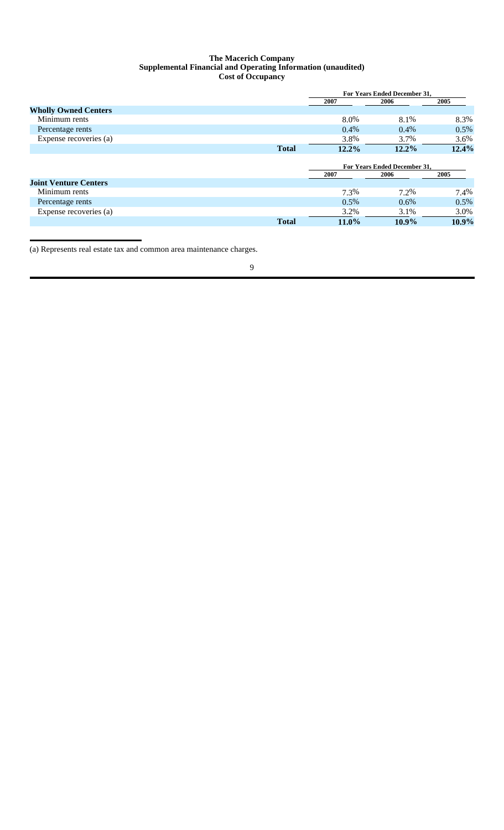### **The Macerich Company Supplemental Financial and Operating Information (unaudited) Cost of Occupancy**

|                              |              | <b>For Years Ended December 31.</b> |                                     |          |  |
|------------------------------|--------------|-------------------------------------|-------------------------------------|----------|--|
|                              |              | 2007                                | 2006                                | 2005     |  |
| <b>Wholly Owned Centers</b>  |              |                                     |                                     |          |  |
| Minimum rents                |              | 8.0%                                | 8.1%                                | 8.3%     |  |
| Percentage rents             |              | $0.4\%$                             | $0.4\%$                             | 0.5%     |  |
| Expense recoveries (a)       |              | 3.8%                                | 3.7%                                | 3.6%     |  |
|                              | <b>Total</b> | 12.2%                               | $12.2\%$                            | 12.4%    |  |
|                              |              |                                     |                                     |          |  |
|                              |              |                                     | <b>For Years Ended December 31.</b> |          |  |
|                              |              | 2007                                | 2006                                | 2005     |  |
| <b>Joint Venture Centers</b> |              |                                     |                                     |          |  |
| Minimum rents                |              | 7.3%                                | 7.2%                                | 7.4%     |  |
| Percentage rents             |              | $0.5\%$                             | $0.6\%$                             | $0.5\%$  |  |
| Expense recoveries (a)       |              | 3.2%                                | 3.1%                                | 3.0%     |  |
|                              | <b>Total</b> | $11.0\%$                            | $10.9\%$                            | $10.9\%$ |  |

(a) Represents real estate tax and common area maintenance charges.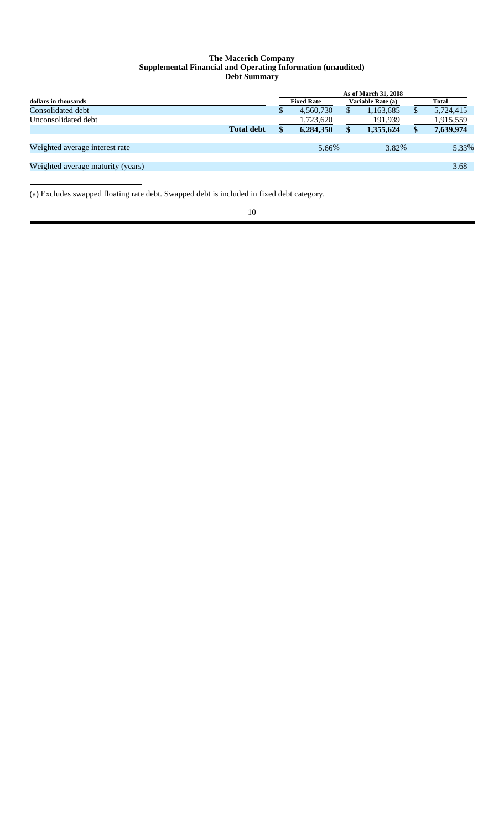#### **The Macerich Company Supplemental Financial and Operating Information (unaudited) Debt Summary**

|                                   |                   | As of March 31, 2008 |                   |    |                   |  |              |
|-----------------------------------|-------------------|----------------------|-------------------|----|-------------------|--|--------------|
| dollars in thousands              |                   |                      | <b>Fixed Rate</b> |    | Variable Rate (a) |  | <b>Total</b> |
| Consolidated debt                 |                   | S                    | 4,560,730         |    | 1,163,685         |  | 5,724,415    |
| Unconsolidated debt               |                   |                      | 1,723,620         |    | 191,939           |  | 1,915,559    |
|                                   | <b>Total debt</b> | \$                   | 6,284,350         | \$ | 1,355,624         |  | 7,639,974    |
|                                   |                   |                      |                   |    |                   |  |              |
| Weighted average interest rate    |                   |                      | 5.66%             |    | 3.82%             |  | 5.33%        |
|                                   |                   |                      |                   |    |                   |  |              |
| Weighted average maturity (years) |                   |                      |                   |    |                   |  | 3.68         |
|                                   |                   |                      |                   |    |                   |  |              |

(a) Excludes swapped floating rate debt. Swapped debt is included in fixed debt category.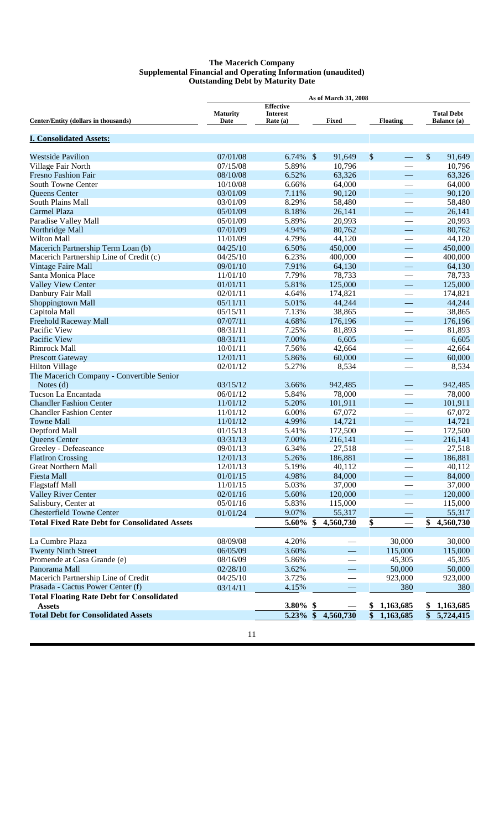#### **The Macerich Company Supplemental Financial and Operating Information (unaudited) Outstanding Debt by Maturity Date**

|                                                      | <b>As of March 31, 2008</b> |                                                   |                    |                                             |                                         |  |  |
|------------------------------------------------------|-----------------------------|---------------------------------------------------|--------------------|---------------------------------------------|-----------------------------------------|--|--|
| Center/Entity (dollars in thousands)                 | <b>Maturity</b><br>Date     | <b>Effective</b><br><b>Interest</b><br>Rate $(a)$ | Fixed              | <b>Floating</b>                             | <b>Total Debt</b><br><b>Balance</b> (a) |  |  |
| <b>I. Consolidated Assets:</b>                       |                             |                                                   |                    |                                             |                                         |  |  |
| <b>Westside Pavilion</b>                             | 07/01/08                    | $6.74\%$ \$                                       | 91,649             | \$                                          | $\$\$<br>91,649                         |  |  |
| Village Fair North                                   | 07/15/08                    | 5.89%                                             | 10,796             |                                             | 10,796                                  |  |  |
| <b>Fresno Fashion Fair</b>                           | 08/10/08                    | 6.52%                                             | 63,326             | $\overline{\phantom{0}}$                    | 63,326                                  |  |  |
| <b>South Towne Center</b>                            | 10/10/08                    | 6.66%                                             | 64,000             |                                             | 64,000                                  |  |  |
| Queens Center                                        | 03/01/09                    | 7.11%                                             | 90,120             |                                             | 90,120                                  |  |  |
| South Plains Mall                                    | 03/01/09                    | 8.29%                                             | 58,480             |                                             | 58,480                                  |  |  |
| Carmel Plaza                                         | 05/01/09                    | 8.18%                                             | 26,141             | $\overline{\phantom{0}}$                    | 26,141                                  |  |  |
| Paradise Valley Mall                                 | 05/01/09                    | 5.89%                                             | 20,993             | $\overbrace{\phantom{12333}}$               | 20,993                                  |  |  |
| Northridge Mall                                      | 07/01/09                    | 4.94%                                             | 80,762             |                                             | 80,762                                  |  |  |
| <b>Wilton Mall</b>                                   | 11/01/09                    | 4.79%                                             | 44,120             |                                             | 44,120                                  |  |  |
| Macerich Partnership Term Loan (b)                   | 04/25/10                    | 6.50%                                             | 450,000            | $\overline{\phantom{m}}$                    | 450,000                                 |  |  |
| Macerich Partnership Line of Credit (c)              | 04/25/10                    | 6.23%                                             | 400,000            |                                             | 400,000                                 |  |  |
| <b>Vintage Faire Mall</b>                            | 09/01/10                    | 7.91%                                             | 64,130             | $\overline{\phantom{0}}$                    | 64,130                                  |  |  |
| Santa Monica Place                                   | 11/01/10                    | 7.79%                                             | 78,733             |                                             | 78,733                                  |  |  |
| <b>Valley View Center</b>                            | 01/01/11                    | 5.81%                                             | 125,000            | $\overline{\phantom{0}}$                    | 125,000                                 |  |  |
| Danbury Fair Mall                                    | 02/01/11                    | 4.64%                                             | 174,821            |                                             | 174,821                                 |  |  |
| Shoppingtown Mall                                    | 05/11/11                    | 5.01%                                             | 44,244             | $\overline{\phantom{0}}$                    | 44,244                                  |  |  |
| Capitola Mall                                        | 05/15/11                    | 7.13%                                             | 38,865             | $\overbrace{\phantom{12333}}$               | 38,865                                  |  |  |
| Freehold Raceway Mall                                | 07/07/11                    | 4.68%                                             | 176,196            | $\overline{\phantom{0}}$                    | 176,196                                 |  |  |
| Pacific View                                         | 08/31/11                    | 7.25%                                             | 81,893             |                                             | 81,893                                  |  |  |
| Pacific View                                         | 08/31/11                    | 7.00%                                             | 6,605              |                                             | 6,605                                   |  |  |
| Rimrock Mall                                         | 10/01/11                    | 7.56%                                             | 42,664             |                                             | 42,664                                  |  |  |
| <b>Prescott Gateway</b>                              | 12/01/11                    | 5.86%                                             | 60,000             |                                             | 60,000                                  |  |  |
| <b>Hilton Village</b>                                | 02/01/12                    | 5.27%                                             | 8,534              |                                             | 8,534                                   |  |  |
| The Macerich Company - Convertible Senior            |                             |                                                   |                    |                                             |                                         |  |  |
| Notes $(d)$                                          | 03/15/12                    | 3.66%                                             | 942,485            |                                             | 942,485                                 |  |  |
| Tucson La Encantada                                  | 06/01/12                    | 5.84%                                             | 78,000             |                                             | 78,000                                  |  |  |
| <b>Chandler Fashion Center</b>                       | 11/01/12                    | 5.20%                                             | 101,911            | $\overline{\phantom{0}}$                    | 101,911                                 |  |  |
| <b>Chandler Fashion Center</b>                       | 11/01/12                    | 6.00%                                             | 67,072             |                                             | 67,072                                  |  |  |
| <b>Towne Mall</b>                                    | 11/01/12                    | 4.99%                                             | 14,721             | $\overline{\phantom{0}}$                    | 14,721                                  |  |  |
| Deptford Mall                                        | 01/15/13                    | 5.41%                                             | 172,500            |                                             | 172,500                                 |  |  |
| Queens Center                                        | 03/31/13                    | 7.00%                                             | 216,141            |                                             | 216,141                                 |  |  |
| Greeley - Defeaseance                                | 09/01/13                    | 6.34%                                             | 27,518             | $\overline{\phantom{0}}$                    | 27,518                                  |  |  |
| <b>FlatIron Crossing</b>                             | 12/01/13                    | 5.26%                                             | 186,881            |                                             | 186,881                                 |  |  |
| <b>Great Northern Mall</b>                           | 12/01/13                    | 5.19%                                             | 40,112             |                                             | 40,112                                  |  |  |
| <b>Fiesta Mall</b>                                   | 01/01/15                    | 4.98%                                             | 84,000             |                                             | 84,000                                  |  |  |
| <b>Flagstaff Mall</b>                                | 11/01/15<br>02/01/16        | 5.03%                                             | 37,000             |                                             | 37,000                                  |  |  |
| <b>Valley River Center</b><br>Salisbury, Center at   | 05/01/16                    | 5.60%<br>5.83%                                    | 120,000<br>115,000 |                                             | 120,000<br>115,000                      |  |  |
| <b>Chesterfield Towne Center</b>                     |                             |                                                   |                    |                                             |                                         |  |  |
|                                                      | 01/01/24                    | 9.07%                                             | 55,317             |                                             | 55,317                                  |  |  |
| <b>Total Fixed Rate Debt for Consolidated Assets</b> |                             | 5.60%                                             | 4,560,730<br>S     | $\frac{\mathbf{\hat{S}}}{\mathbf{\hat{S}}}$ | 4,560,730<br>\$                         |  |  |
| La Cumbre Plaza                                      | 08/09/08                    | 4.20%                                             |                    | 30,000                                      | 30,000                                  |  |  |
| <b>Twenty Ninth Street</b>                           | 06/05/09                    | 3.60%                                             |                    | 115,000                                     | 115,000                                 |  |  |
| Promende at Casa Grande (e)                          | 08/16/09                    | 5.86%                                             |                    | 45,305                                      | 45,305                                  |  |  |
| Panorama Mall                                        | 02/28/10                    | 3.62%                                             |                    | 50,000                                      | 50,000                                  |  |  |
| Macerich Partnership Line of Credit                  | 04/25/10                    | 3.72%                                             |                    | 923,000                                     | 923,000                                 |  |  |
| Prasada - Cactus Power Center (f)                    | 03/14/11                    | 4.15%                                             |                    | 380                                         | 380                                     |  |  |
| <b>Total Floating Rate Debt for Consolidated</b>     |                             |                                                   |                    |                                             |                                         |  |  |
| <b>Assets</b>                                        |                             | 3.80% \$                                          |                    | 1,163,685<br>\$                             | 1,163,685<br>SS.                        |  |  |
| <b>Total Debt for Consolidated Assets</b>            |                             | $5.23\%$ \$                                       | 4,560,730          | \$<br>1,163,685                             | $\boldsymbol{\$}$<br>5,724,415          |  |  |
|                                                      |                             |                                                   |                    |                                             |                                         |  |  |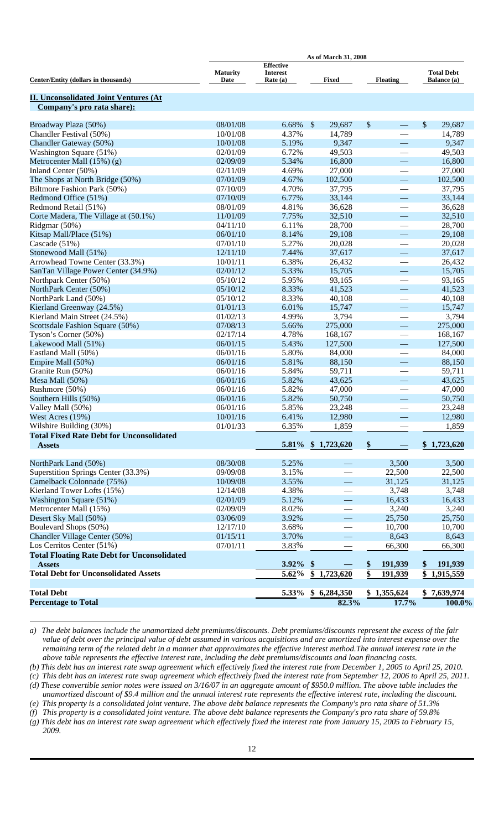|                                                    | As of March 31, 2008    |                                                   |                          |                          |                                         |  |  |  |  |
|----------------------------------------------------|-------------------------|---------------------------------------------------|--------------------------|--------------------------|-----------------------------------------|--|--|--|--|
| Center/Entity (dollars in thousands)               | <b>Maturity</b><br>Date | <b>Effective</b><br><b>Interest</b><br>Rate $(a)$ | Fixed                    | <b>Floating</b>          | <b>Total Debt</b><br><b>Balance</b> (a) |  |  |  |  |
|                                                    |                         |                                                   |                          |                          |                                         |  |  |  |  |
| <b>II. Unconsolidated Joint Ventures (At</b>       |                         |                                                   |                          |                          |                                         |  |  |  |  |
| Company's pro rata share):                         |                         |                                                   |                          |                          |                                         |  |  |  |  |
| Broadway Plaza (50%)                               | 08/01/08                | 6.68%                                             | $\sqrt$<br>29,687        | $\$\,$                   | \$<br>29,687                            |  |  |  |  |
| Chandler Festival (50%)                            | 10/01/08                | 4.37%                                             | 14,789                   |                          | 14,789                                  |  |  |  |  |
| Chandler Gateway (50%)                             | 10/01/08                | 5.19%                                             | 9,347                    | $\equiv$                 | 9,347                                   |  |  |  |  |
| Washington Square (51%)                            | 02/01/09                | 6.72%                                             | 49,503                   |                          | 49,503                                  |  |  |  |  |
| Metrocenter Mall $(15%)$ (g)                       | 02/09/09                | 5.34%                                             | 16,800                   | $\overline{\phantom{0}}$ | 16,800                                  |  |  |  |  |
| Inland Center (50%)                                | 02/11/09                | 4.69%                                             | 27,000                   | $\overline{\phantom{0}}$ | 27,000                                  |  |  |  |  |
| The Shops at North Bridge (50%)                    | 07/01/09                | 4.67%                                             | 102,500                  |                          | 102,500                                 |  |  |  |  |
| Biltmore Fashion Park (50%)                        | 07/10/09                | 4.70%                                             | 37,795                   |                          | 37,795                                  |  |  |  |  |
| Redmond Office (51%)                               | 07/10/09                | 6.77%                                             | 33,144                   | $\frac{1}{1}$            | 33,144                                  |  |  |  |  |
| Redmond Retail (51%)                               | 08/01/09                | 4.81%                                             | 36,628                   | $\overline{\phantom{0}}$ | 36,628                                  |  |  |  |  |
| Corte Madera, The Village at (50.1%)               | 11/01/09                | 7.75%                                             | 32,510                   | $\overline{\phantom{0}}$ | 32,510                                  |  |  |  |  |
| Ridgmar (50%)                                      | 04/11/10                | 6.11%                                             | 28,700                   |                          | 28,700                                  |  |  |  |  |
| Kitsap Mall/Place (51%)                            | 06/01/10                | 8.14%                                             | 29,108                   |                          | 29,108                                  |  |  |  |  |
| Cascade (51%)                                      | 07/01/10                | 5.27%                                             | 20,028                   |                          | 20,028                                  |  |  |  |  |
| Stonewood Mall (51%)                               | 12/11/10                | 7.44%                                             | 37,617                   | $\equiv$                 | 37,617                                  |  |  |  |  |
| Arrowhead Towne Center (33.3%)                     | 10/01/11                | 6.38%                                             | 26,432                   | $\overline{\phantom{0}}$ | 26,432                                  |  |  |  |  |
| SanTan Village Power Center (34.9%)                | 02/01/12                | 5.33%                                             | 15,705                   | $\overline{\phantom{0}}$ | 15,705                                  |  |  |  |  |
| Northpark Center (50%)                             | 05/10/12                | 5.95%                                             | 93,165                   | $\overline{\phantom{0}}$ | 93,165                                  |  |  |  |  |
| NorthPark Center (50%)                             | 05/10/12                | 8.33%                                             | 41,523                   | $\equiv$                 | 41,523                                  |  |  |  |  |
| NorthPark Land (50%)                               | 05/10/12                | 8.33%                                             | 40,108                   | $\overline{\phantom{0}}$ | 40,108                                  |  |  |  |  |
| Kierland Greenway (24.5%)                          | 01/01/13                | 6.01%                                             | 15,747                   | $\overline{\phantom{0}}$ | 15,747                                  |  |  |  |  |
| Kierland Main Street (24.5%)                       | 01/02/13                | 4.99%                                             | 3,794                    | $\overline{\phantom{0}}$ | 3,794                                   |  |  |  |  |
| Scottsdale Fashion Square (50%)                    | 07/08/13                | 5.66%                                             | 275,000                  | $\qquad \qquad$          | 275,000                                 |  |  |  |  |
| Tyson's Corner (50%)                               | 02/17/14                | 4.78%                                             | 168,167                  |                          | 168,167                                 |  |  |  |  |
| Lakewood Mall (51%)                                | 06/01/15                | 5.43%                                             | 127,500                  | $\frac{1}{1}$            | 127,500                                 |  |  |  |  |
| Eastland Mall (50%)                                | 06/01/16                | 5.80%                                             | 84,000                   | $\overline{\phantom{0}}$ | 84,000                                  |  |  |  |  |
| Empire Mall (50%)                                  | 06/01/16                | 5.81%                                             | 88,150                   |                          | 88,150                                  |  |  |  |  |
| Granite Run (50%)                                  | 06/01/16                | 5.84%                                             | 59,711                   |                          | 59,711                                  |  |  |  |  |
| Mesa Mall (50%)                                    | 06/01/16                | 5.82%                                             | 43,625                   | $\qquad \qquad$          | 43,625                                  |  |  |  |  |
| Rushmore (50%)                                     | 06/01/16                | 5.82%                                             | 47,000                   |                          | 47,000                                  |  |  |  |  |
| Southern Hills (50%)                               | 06/01/16                | 5.82%                                             | 50,750                   |                          | 50,750                                  |  |  |  |  |
| Valley Mall (50%)                                  | 06/01/16                | 5.85%                                             | 23,248                   | $\overline{\phantom{0}}$ | 23,248                                  |  |  |  |  |
| West Acres (19%)                                   | 10/01/16                | 6.41%                                             | 12,980                   |                          | 12,980                                  |  |  |  |  |
| Wilshire Building (30%)                            | 01/01/33                | 6.35%                                             | 1,859                    |                          | 1,859                                   |  |  |  |  |
| <b>Total Fixed Rate Debt for Unconsolidated</b>    |                         |                                                   |                          |                          |                                         |  |  |  |  |
| <b>Assets</b>                                      |                         |                                                   | 5.81% \$1,723,620        | \$                       | \$1,723,620                             |  |  |  |  |
|                                                    |                         |                                                   |                          |                          |                                         |  |  |  |  |
| NorthPark Land (50%)                               | 08/30/08                | 5.25%                                             |                          | 3,500                    | 3,500                                   |  |  |  |  |
| Superstition Springs Center (33.3%)                | 09/09/08                | 3.15%                                             |                          | 22,500                   | 22,500                                  |  |  |  |  |
| Camelback Colonnade (75%)                          | 10/09/08                | 3.55%                                             | $\overline{\phantom{0}}$ | 31,125                   | 31,125                                  |  |  |  |  |
| Kierland Tower Lofts (15%)                         | 12/14/08                | 4.38%                                             |                          | 3,748                    | 3,748                                   |  |  |  |  |
| Washington Square (51%)                            | 02/01/09                | 5.12%                                             | $\overline{\phantom{0}}$ | 16,433                   | 16,433                                  |  |  |  |  |
| Metrocenter Mall (15%)                             | 02/09/09                | 8.02%                                             |                          | 3,240                    | 3,240                                   |  |  |  |  |
| Desert Sky Mall (50%)                              | 03/06/09                | 3.92%                                             |                          | 25,750                   | 25,750                                  |  |  |  |  |
| Boulevard Shops (50%)                              | 12/17/10                | 3.68%                                             |                          | 10,700                   | 10,700                                  |  |  |  |  |
| Chandler Village Center (50%)                      | 01/15/11                | 3.70%                                             |                          | 8,643                    | 8,643                                   |  |  |  |  |
| Los Cerritos Center (51%)                          | 07/01/11                | 3.83%                                             |                          | 66,300                   | 66,300                                  |  |  |  |  |
| <b>Total Floating Rate Debt for Unconsolidated</b> |                         |                                                   |                          |                          |                                         |  |  |  |  |
| <b>Assets</b>                                      |                         | 3.92%                                             | $\boldsymbol{\$}$        | \$<br>191,939            | 191,939<br>\$                           |  |  |  |  |
| <b>Total Debt for Unconsolidated Assets</b>        |                         | 5.62%                                             | \$1,723,620              | \$<br>191,939            | \$1,915,559                             |  |  |  |  |
|                                                    |                         |                                                   |                          |                          |                                         |  |  |  |  |
| <b>Total Debt</b><br><b>Percentage to Total</b>    |                         | $5.33\%$                                          | \$6,284,350<br>82.3%     | \$1,355,624<br>17.7%     | \$7,639,974<br>100.0%                   |  |  |  |  |
|                                                    |                         |                                                   |                          |                          |                                         |  |  |  |  |

*a) The debt balances include the unamortized debt premiums/discounts. Debt premiums/discounts represent the excess of the fair value of debt over the principal value of debt assumed in various acquisitions and are amortized into interest expense over the remaining term of the related debt in a manner that approximates the effective interest method.The annual interest rate in the above table represents the effective interest rate, including the debt premiums/discounts and loan financing costs.*

*(b) This debt has an interest rate swap agreement which effectively fixed the interest rate from December 1, 2005 to April 25, 2010.*

*(c) This debt has an interest rate swap agreement which effectively fixed the interest rate from September 12, 2006 to April 25, 2011. (d) These convertible senior notes were issued on 3/16/07 in an aggregate amount of \$950.0 million. The above table includes the* 

*unamortized discount of \$9.4 million and the annual interest rate represents the effective interest rate, including the discount. (e) This property is a consolidated joint venture. The above debt balance represents the Company's pro rata share of 51.3%*

*(f) This property is a consolidated joint venture. The above debt balance represents the Company's pro rata share of 59.8%*

*(g) This debt has an interest rate swap agreement which effectively fixed the interest rate from January 15, 2005 to February 15, 2009.*